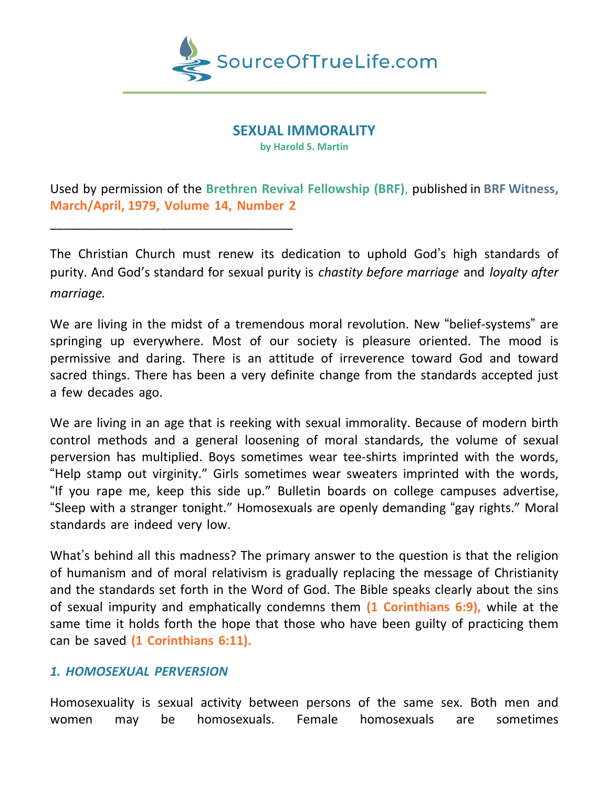

#### **SEXUAL IMMORALITY**

**by Harold S. Martin**

Used by permission of the **Brethren Revival Fellowship (BRF)**, published in **BRF Witness, March/April, 1979, Volume 14, Number 2**

The Christian Church must renew its dedication to uphold God's high standards of purity. And God's standard for sexual purity is *chastity before marriage* and *loyalty after marriage.*

We are living in the midst of a tremendous moral revolution. New "belief-systems" are springing up everywhere. Most of our society is pleasure oriented. The mood is permissive and daring. There is an attitude of irreverence toward God and toward sacred things. There has been a very definite change from the standards accepted just a few decades ago.

We are living in an age that is reeking with sexual immorality. Because of modern birth control methods and a general loosening of moral standards, the volume of sexual perversion has multiplied. Boys sometimes wear tee-shirts imprinted with the words, "Help stamp out virginity." Girls sometimes wear sweaters imprinted with the words, "If you rape me, keep this side up." Bulletin boards on college campuses advertise, "Sleep with a stranger tonight." Homosexuals are openly demanding "gay rights." Moral standards are indeed very low.

What's behind all this madness? The primary answer to the question is that the religion of humanism and of moral relativism is gradually replacing the message of Christianity and the standards set forth in the Word of God. The Bible speaks clearly about the sins of sexual impurity and emphatically condemns them **(1 Corinthians 6:9),** while at the same time it holds forth the hope that those who have been guilty of practicing them can be saved **(1 Corinthians 6:11).**

#### *1. HOMOSEXUAL PERVERSION*

\_\_\_\_\_\_\_\_\_\_\_\_\_\_\_\_\_\_\_\_\_\_\_\_\_\_\_\_\_\_\_\_\_\_\_

Homosexuality is sexual activity between persons of the same sex. Both men and women may be homosexuals. Female homosexuals are sometimes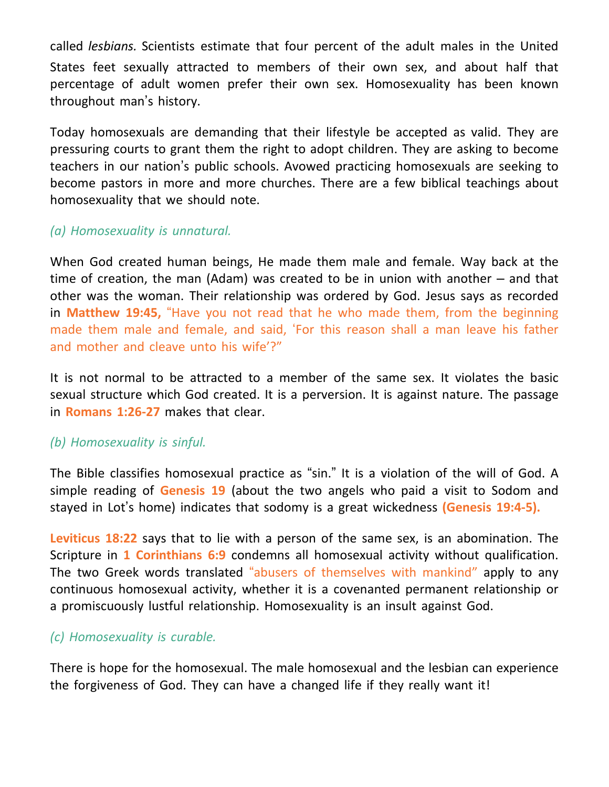called *lesbians.* Scientists estimate that four percent of the adult males in the United States feet sexually attracted to members of their own sex, and about half that percentage of adult women prefer their own sex. Homosexuality has been known throughout man's history.

Today homosexuals are demanding that their lifestyle be accepted as valid. They are pressuring courts to grant them the right to adopt children. They are asking to become teachers in our nation's public schools. Avowed practicing homosexuals are seeking to become pastors in more and more churches. There are a few biblical teachings about homosexuality that we should note.

# *(a) Homosexuality is unnatural.*

When God created human beings, He made them male and female. Way back at the time of creation, the man (Adam) was created to be in union with another – and that other was the woman. Their relationship was ordered by God. Jesus says as recorded in **Matthew 19:45,** "Have you not read that he who made them, from the beginning made them male and female, and said, 'For this reason shall a man leave his father and mother and cleave unto his wife'?"

It is not normal to be attracted to a member of the same sex. It violates the basic sexual structure which God created. It is a perversion. It is against nature. The passage in **Romans 1:26-27** makes that clear.

## *(b) Homosexuality is sinful.*

The Bible classifies homosexual practice as "sin." It is a violation of the will of God. A simple reading of **Genesis 19** (about the two angels who paid a visit to Sodom and stayed in Lot's home) indicates that sodomy is a great wickedness **(Genesis 19:4-5).**

**Leviticus 18:22** says that to lie with a person of the same sex, is an abomination. The Scripture in **1 Corinthians 6:9** condemns all homosexual activity without qualification. The two Greek words translated "abusers of themselves with mankind" apply to any continuous homosexual activity, whether it is a covenanted permanent relationship or a promiscuously lustful relationship. Homosexuality is an insult against God.

## *(c) Homosexuality is curable.*

There is hope for the homosexual. The male homosexual and the lesbian can experience the forgiveness of God. They can have a changed life if they really want it!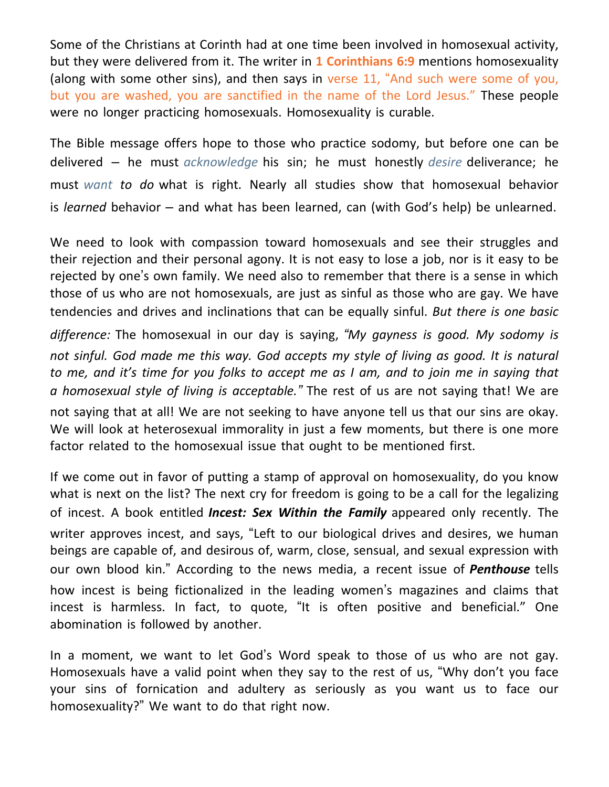Some of the Christians at Corinth had at one time been involved in homosexual activity, but they were delivered from it. The writer in **1 Corinthians 6:9** mentions homosexuality (along with some other sins), and then says in verse 11, "And such were some of you, but you are washed, you are sanctified in the name of the Lord Jesus." These people were no longer practicing homosexuals. Homosexuality is curable.

The Bible message offers hope to those who practice sodomy, but before one can be delivered – he must *acknowledge* his sin; he must honestly *desire* deliverance; he must *want to do* what is right. Nearly all studies show that homosexual behavior is *learned* behavior – and what has been learned, can (with God's help) be unlearned.

We need to look with compassion toward homosexuals and see their struggles and their rejection and their personal agony. It is not easy to lose a job, nor is it easy to be rejected by one's own family. We need also to remember that there is a sense in which those of us who are not homosexuals, are just as sinful as those who are gay. We have tendencies and drives and inclinations that can be equally sinful. *But there is one basic*

*difference:* The homosexual in our day is saying, *"My gayness is good. My sodomy is not sinful. God made me this way. God accepts my style of living as good. It is natural* to me, and it's time for you folks to accept me as I am, and to join me in saying that *a homosexual style of living is acceptable."* The rest of us are not saying that! We are not saying that at all! We are not seeking to have anyone tell us that our sins are okay. We will look at heterosexual immorality in just a few moments, but there is one more factor related to the homosexual issue that ought to be mentioned first.

If we come out in favor of putting a stamp of approval on homosexuality, do you know what is next on the list? The next cry for freedom is going to be a call for the legalizing of incest. A book entitled *Incest: Sex Within the Family* appeared only recently. The writer approves incest, and says, "Left to our biological drives and desires, we human beings are capable of, and desirous of, warm, close, sensual, and sexual expression with our own blood kin." According to the news media, a recent issue of *Penthouse* tells how incest is being fictionalized in the leading women's magazines and claims that incest is harmless. In fact, to quote, "It is often positive and beneficial." One abomination is followed by another.

In a moment, we want to let God's Word speak to those of us who are not gay. Homosexuals have a valid point when they say to the rest of us, "Why don't you face your sins of fornication and adultery as seriously as you want us to face our homosexuality?" We want to do that right now.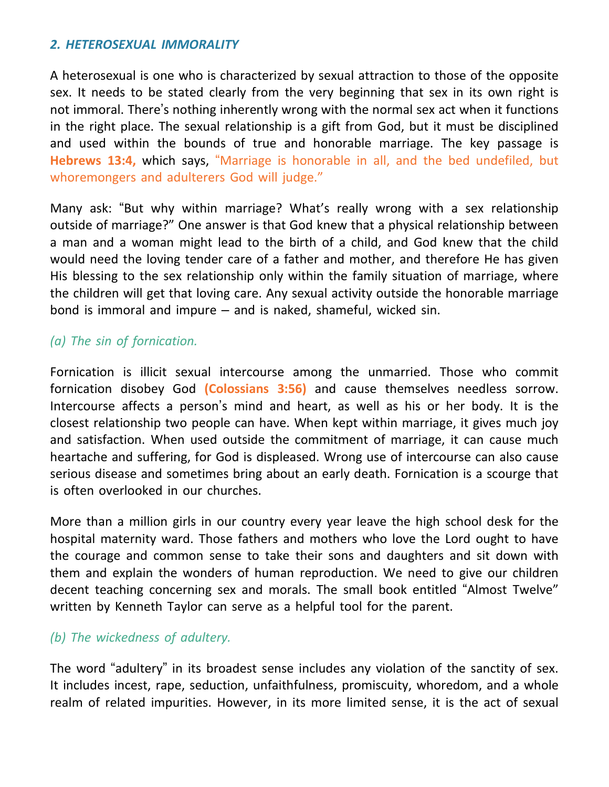#### *2. HETEROSEXUAL IMMORALITY*

A heterosexual is one who is characterized by sexual attraction to those of the opposite sex. It needs to be stated clearly from the very beginning that sex in its own right is not immoral. There's nothing inherently wrong with the normal sex act when it functions in the right place. The sexual relationship is a gift from God, but it must be disciplined and used within the bounds of true and honorable marriage. The key passage is **Hebrews 13:4,** which says, "Marriage is honorable in all, and the bed undefiled, but whoremongers and adulterers God will judge."

Many ask: "But why within marriage? What's really wrong with a sex relationship outside of marriage?" One answer is that God knew that a physical relationship between a man and a woman might lead to the birth of a child, and God knew that the child would need the loving tender care of a father and mother, and therefore He has given His blessing to the sex relationship only within the family situation of marriage, where the children will get that loving care. Any sexual activity outside the honorable marriage bond is immoral and impure – and is naked, shameful, wicked sin.

## *(a) The sin of fornication.*

Fornication is illicit sexual intercourse among the unmarried. Those who commit fornication disobey God **(Colossians 3:56)** and cause themselves needless sorrow. Intercourse affects a person's mind and heart, as well as his or her body. It is the closest relationship two people can have. When kept within marriage, it gives much joy and satisfaction. When used outside the commitment of marriage, it can cause much heartache and suffering, for God is displeased. Wrong use of intercourse can also cause serious disease and sometimes bring about an early death. Fornication is a scourge that is often overlooked in our churches.

More than a million girls in our country every year leave the high school desk for the hospital maternity ward. Those fathers and mothers who love the Lord ought to have the courage and common sense to take their sons and daughters and sit down with them and explain the wonders of human reproduction. We need to give our children decent teaching concerning sex and morals. The small book entitled "Almost Twelve" written by Kenneth Taylor can serve as a helpful tool for the parent.

## *(b) The wickedness of adultery.*

The word "adultery" in its broadest sense includes any violation of the sanctity of sex. It includes incest, rape, seduction, unfaithfulness, promiscuity, whoredom, and a whole realm of related impurities. However, in its more limited sense, it is the act of sexual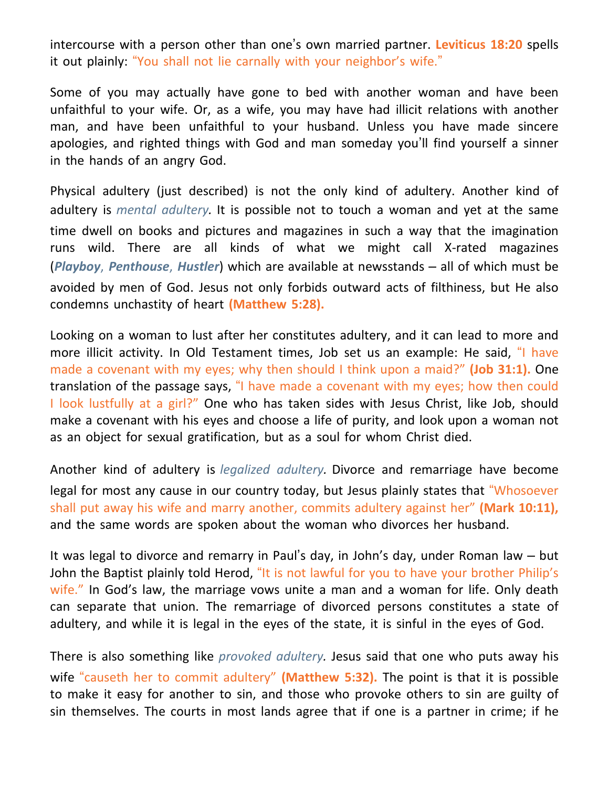intercourse with a person other than one's own married partner. **Leviticus 18:20** spells it out plainly: "You shall not lie carnally with your neighbor's wife."

Some of you may actually have gone to bed with another woman and have been unfaithful to your wife. Or, as a wife, you may have had illicit relations with another man, and have been unfaithful to your husband. Unless you have made sincere apologies, and righted things with God and man someday you'll find yourself a sinner in the hands of an angry God.

Physical adultery (just described) is not the only kind of adultery. Another kind of adultery is *mental adultery.* It is possible not to touch a woman and yet at the same time dwell on books and pictures and magazines in such a way that the imagination runs wild. There are all kinds of what we might call X-rated magazines (*Playboy*, *Penthouse*, *Hustler*) which are available at newsstands – all of which must be avoided by men of God. Jesus not only forbids outward acts of filthiness, but He also condemns unchastity of heart **(Matthew 5:28).**

Looking on a woman to lust after her constitutes adultery, and it can lead to more and more illicit activity. In Old Testament times, Job set us an example: He said, "I have made a covenant with my eyes; why then should I think upon a maid?" **(Job 31:1).** One translation of the passage says, "I have made a covenant with my eyes; how then could I look lustfully at a girl?" One who has taken sides with Jesus Christ, like Job, should make a covenant with his eyes and choose a life of purity, and look upon a woman not as an object for sexual gratification, but as a soul for whom Christ died.

Another kind of adultery is *legalized adultery.* Divorce and remarriage have become legal for most any cause in our country today, but Jesus plainly states that "Whosoever shall put away his wife and marry another, commits adultery against her" **(Mark 10:11),** and the same words are spoken about the woman who divorces her husband.

It was legal to divorce and remarry in Paul's day, in John's day, under Roman law – but John the Baptist plainly told Herod, "It is not lawful for you to have your brother Philip's wife." In God's law, the marriage vows unite a man and a woman for life. Only death can separate that union. The remarriage of divorced persons constitutes a state of adultery, and while it is legal in the eyes of the state, it is sinful in the eyes of God.

There is also something like *provoked adultery.* Jesus said that one who puts away his wife "causeth her to commit adultery" **(Matthew 5:32).** The point is that it is possible to make it easy for another to sin, and those who provoke others to sin are guilty of sin themselves. The courts in most lands agree that if one is a partner in crime; if he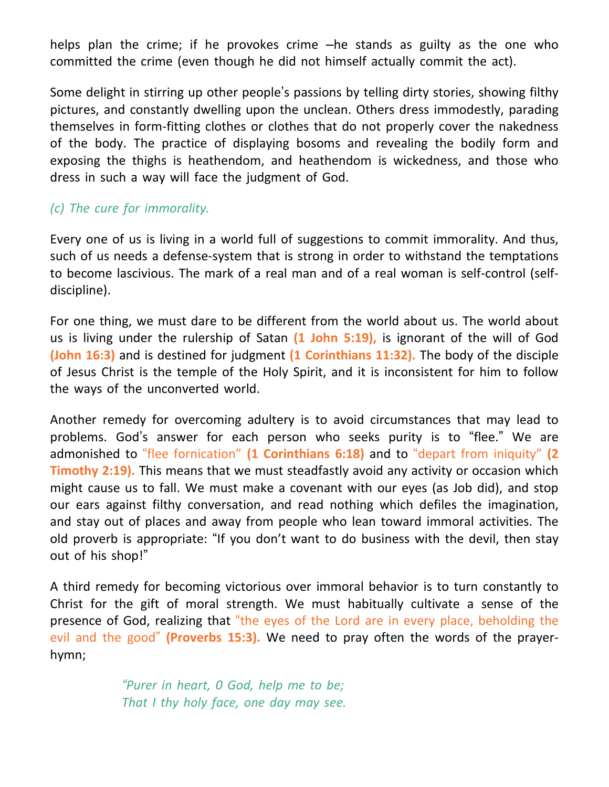helps plan the crime; if he provokes crime –he stands as guilty as the one who committed the crime (even though he did not himself actually commit the act).

Some delight in stirring up other people's passions by telling dirty stories, showing filthy pictures, and constantly dwelling upon the unclean. Others dress immodestly, parading themselves in form-fitting clothes or clothes that do not properly cover the nakedness of the body. The practice of displaying bosoms and revealing the bodily form and exposing the thighs is heathendom, and heathendom is wickedness, and those who dress in such a way will face the judgment of God.

# *(c) The cure for immorality.*

Every one of us is living in a world full of suggestions to commit immorality. And thus, such of us needs a defense-system that is strong in order to withstand the temptations to become lascivious. The mark of a real man and of a real woman is self-control (selfdiscipline).

For one thing, we must dare to be different from the world about us. The world about us is living under the rulership of Satan **(1 John 5:19),** is ignorant of the will of God **(John 16:3)** and is destined for judgment **(1 Corinthians 11:32).** The body of the disciple of Jesus Christ is the temple of the Holy Spirit, and it is inconsistent for him to follow the ways of the unconverted world.

Another remedy for overcoming adultery is to avoid circumstances that may lead to problems. God's answer for each person who seeks purity is to "flee." We are admonished to "flee fornication" **(1 Corinthians 6:18)** and to "depart from iniquity" **(2 Timothy 2:19).** This means that we must steadfastly avoid any activity or occasion which might cause us to fall. We must make a covenant with our eyes (as Job did), and stop our ears against filthy conversation, and read nothing which defiles the imagination, and stay out of places and away from people who lean toward immoral activities. The old proverb is appropriate: "If you don't want to do business with the devil, then stay out of his shop!"

A third remedy for becoming victorious over immoral behavior is to turn constantly to Christ for the gift of moral strength. We must habitually cultivate a sense of the presence of God, realizing that "the eyes of the Lord are in every place, beholding the evil and the good" **(Proverbs 15:3).** We need to pray often the words of the prayerhymn;

> *"Purer in heart, 0 God, help me to be; That I thy holy face, one day may see.*